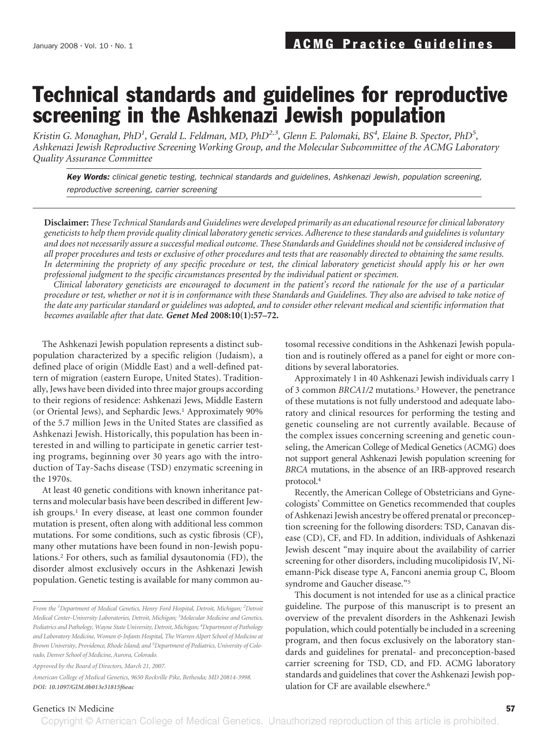# Technical standards and guidelines for reproductive screening in the Ashkenazi Jewish population

Kristin G. Monaghan, PhD<sup>1</sup>, Gerald L. Feldman, MD, PhD<sup>2,3</sup>, Glenn E. Palomaki, BS<sup>4</sup>, Elaine B. Spector, PhD<sup>5</sup>, *Ashkenazi Jewish Reproductive Screening Working Group, and the Molecular Subcommittee of the ACMG Laboratory Quality Assurance Committee*

*Key Words: clinical genetic testing, technical standards and guidelines, Ashkenazi Jewish, population screening, reproductive screening, carrier screening*

**Disclaimer:** *These Technical Standards and Guidelines were developed primarily as an educational resource for clinical laboratory geneticists to help them provide quality clinical laboratory genetic services. Adherence to these standards and guidelines is voluntary and does not necessarily assure a successful medical outcome. These Standards and Guidelines should not be considered inclusive of all proper procedures and tests or exclusive of other procedures and tests that are reasonably directed to obtaining the same results. In determining the propriety of any specific procedure or test, the clinical laboratory geneticist should apply his or her own professional judgment to the specific circumstances presented by the individual patient or specimen.*

*Clinical laboratory geneticists are encouraged to document in the patient's record the rationale for the use of a particular procedure or test, whether or not it is in conformance with these Standards and Guidelines. They also are advised to take notice of the date any particular standard or guidelines was adopted, and to consider other relevant medical and scientific information that becomes available after that date. Genet Med* **2008:10(1):57–72.**

The Ashkenazi Jewish population represents a distinct subpopulation characterized by a specific religion (Judaism), a defined place of origin (Middle East) and a well-defined pattern of migration (eastern Europe, United States). Traditionally, Jews have been divided into three major groups according to their regions of residence: Ashkenazi Jews, Middle Eastern (or Oriental Jews), and Sephardic Jews.1 Approximately 90% of the 5.7 million Jews in the United States are classified as Ashkenazi Jewish. Historically, this population has been interested in and willing to participate in genetic carrier testing programs, beginning over 30 years ago with the introduction of Tay-Sachs disease (TSD) enzymatic screening in the 1970s.

At least 40 genetic conditions with known inheritance patterns and molecular basis have been described in different Jewish groups.<sup>1</sup> In every disease, at least one common founder mutation is present, often along with additional less common mutations. For some conditions, such as cystic fibrosis (CF), many other mutations have been found in non-Jewish populations.2 For others, such as familial dysautonomia (FD), the disorder almost exclusively occurs in the Ashkenazi Jewish population. Genetic testing is available for many common au-

*Approved by the Board of Directors, March 21, 2007.*

*American College of Medical Genetics, 9650 Rockville Pike, Bethesda; MD 20814-3998. DOI: 10.1097/GIM.0b013e31815f6eac*

tosomal recessive conditions in the Ashkenazi Jewish population and is routinely offered as a panel for eight or more conditions by several laboratories.

Approximately 1 in 40 Ashkenazi Jewish individuals carry 1 of 3 common *BRCA1/2* mutations.3 However, the penetrance of these mutations is not fully understood and adequate laboratory and clinical resources for performing the testing and genetic counseling are not currently available. Because of the complex issues concerning screening and genetic counseling, the American College of Medical Genetics (ACMG) does not support general Ashkenazi Jewish population screening for *BRCA* mutations, in the absence of an IRB-approved research protocol.4

Recently, the American College of Obstetricians and Gynecologists' Committee on Genetics recommended that couples of Ashkenazi Jewish ancestry be offered prenatal or preconception screening for the following disorders: TSD, Canavan disease (CD), CF, and FD. In addition, individuals of Ashkenazi Jewish descent "may inquire about the availability of carrier screening for other disorders, including mucolipidosis IV, Niemann-Pick disease type A, Fanconi anemia group C, Bloom syndrome and Gaucher disease."5

This document is not intended for use as a clinical practice guideline. The purpose of this manuscript is to present an overview of the prevalent disorders in the Ashkenazi Jewish population, which could potentially be included in a screening program, and then focus exclusively on the laboratory standards and guidelines for prenatal- and preconception-based carrier screening for TSD, CD, and FD. ACMG laboratory standards and guidelines that cover the Ashkenazi Jewish population for CF are available elsewhere.<sup>6</sup>

# Genetics IN Medicine 57

*From the <sup>1</sup> Department of Medical Genetics, Henry Ford Hospital, Detroit, Michigan; <sup>2</sup> Detroit Medical Center-University Laboratories, Detroit, Michigan; <sup>3</sup> Molecular Medicine and Genetics, Pediatrics and Pathology, Wayne State University, Detroit, Michigan; <sup>4</sup> Department of Pathology and Laboratory Medicine, Women & Infants Hospital, The Warren Alpert School of Medicine at Brown University, Providence, Rhode Island; and <sup>5</sup> Department of Pediatrics, University of Colorado, Denver School of Medicine, Aurora, Colorado.*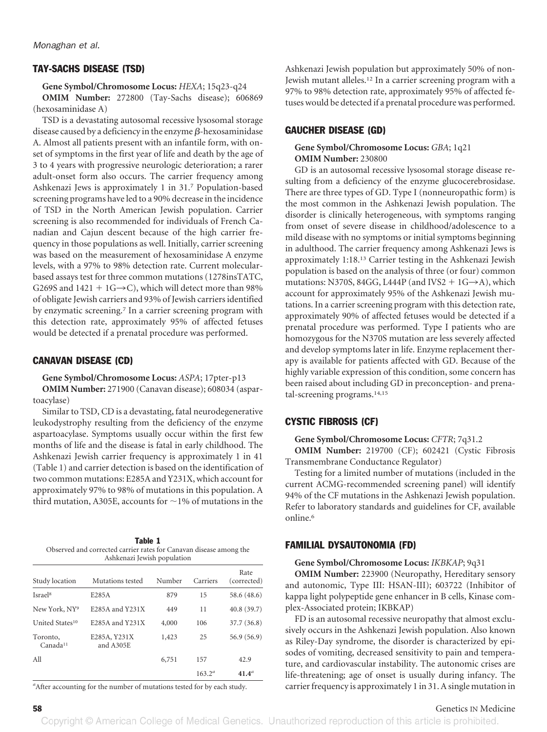# TAY-SACHS DISEASE (TSD)

**Gene Symbol/Chromosome Locus:** *HEXA*; 15q23-q24

**OMIM Number:** 272800 (Tay-Sachs disease); 606869 (hexosaminidase A)

TSD is a devastating autosomal recessive lysosomal storage disease caused by a deficiency in the enzyme  $\beta$ -hexosaminidase A. Almost all patients present with an infantile form, with onset of symptoms in the first year of life and death by the age of 3 to 4 years with progressive neurologic deterioration; a rarer adult-onset form also occurs. The carrier frequency among Ashkenazi Jews is approximately 1 in 31.7 Population-based screening programs have led to a 90% decrease in the incidence of TSD in the North American Jewish population. Carrier screening is also recommended for individuals of French Canadian and Cajun descent because of the high carrier frequency in those populations as well. Initially, carrier screening was based on the measurement of hexosaminidase A enzyme levels, with a 97% to 98% detection rate. Current molecularbased assays test for three common mutations (1278insTATC, G269S and  $1421 + 1G \rightarrow C$ ), which will detect more than 98% of obligate Jewish carriers and 93% of Jewish carriers identified by enzymatic screening.7 In a carrier screening program with this detection rate, approximately 95% of affected fetuses would be detected if a prenatal procedure was performed.

# CANAVAN DISEASE (CD)

**Gene Symbol/Chromosome Locus:** *ASPA*; 17pter-p13 **OMIM Number:** 271900 (Canavan disease); 608034 (aspartoacylase)

Similar to TSD, CD is a devastating, fatal neurodegenerative leukodystrophy resulting from the deficiency of the enzyme aspartoacylase. Symptoms usually occur within the first few months of life and the disease is fatal in early childhood. The Ashkenazi Jewish carrier frequency is approximately 1 in 41 (Table 1) and carrier detection is based on the identification of two common mutations: E285A and Y231X, which account for approximately 97% to 98% of mutations in this population. A third mutation, A305E, accounts for  $\sim$  1% of mutations in the

| Table 1                                                            |
|--------------------------------------------------------------------|
| Observed and corrected carrier rates for Canavan disease among the |
| Ashkenazi Jewish population                                        |

| Study location                   | Mutations tested          | Number | Carriers           | Rate<br>(corrected) |
|----------------------------------|---------------------------|--------|--------------------|---------------------|
| Israel <sup>8</sup>              | E285A                     | 879    | 15                 | 58.6 (48.6)         |
| New York, NY <sup>9</sup>        | E285A and Y231X           | 449    | 11                 | 40.8(39.7)          |
| United States <sup>10</sup>      | E285A and Y231X           | 4,000  | 106                | 37.7 (36.8)         |
| Toronto,<br>Canada <sup>11</sup> | E285A, Y231X<br>and A305E | 1,423  | 25                 | 56.9 (56.9)         |
| All                              |                           | 6,751  | 157                | 42.9                |
|                                  |                           |        | 163.2 <sup>a</sup> | $41.4^a$            |

*a* After accounting for the number of mutations tested for by each study.

Ashkenazi Jewish population but approximately 50% of non-Jewish mutant alleles.12 In a carrier screening program with a 97% to 98% detection rate, approximately 95% of affected fetuses would be detected if a prenatal procedure was performed.

# GAUCHER DISEASE (GD)

# **Gene Symbol/Chromosome Locus:** *GBA*; 1q21 **OMIM Number:** 230800

GD is an autosomal recessive lysosomal storage disease resulting from a deficiency of the enzyme glucocerebrosidase. There are three types of GD. Type I (nonneuropathic form) is the most common in the Ashkenazi Jewish population. The disorder is clinically heterogeneous, with symptoms ranging from onset of severe disease in childhood/adolescence to a mild disease with no symptoms or initial symptoms beginning in adulthood. The carrier frequency among Ashkenazi Jews is approximately 1:18.13 Carrier testing in the Ashkenazi Jewish population is based on the analysis of three (or four) common mutations: N370S, 84GG, L444P (and IVS2 +  $1G\rightarrow A$ ), which account for approximately 95% of the Ashkenazi Jewish mutations. In a carrier screening program with this detection rate, approximately 90% of affected fetuses would be detected if a prenatal procedure was performed. Type I patients who are homozygous for the N370S mutation are less severely affected and develop symptoms later in life. Enzyme replacement therapy is available for patients affected with GD. Because of the highly variable expression of this condition, some concern has been raised about including GD in preconception- and prenatal-screening programs.<sup>14,15</sup>

# CYSTIC FIBROSIS (CF)

**Gene Symbol/Chromosome Locus:** *CFTR*; 7q31.2

**OMIM Number:** 219700 (CF); 602421 (Cystic Fibrosis Transmembrane Conductance Regulator)

Testing for a limited number of mutations (included in the current ACMG-recommended screening panel) will identify 94% of the CF mutations in the Ashkenazi Jewish population. Refer to laboratory standards and guidelines for CF, available online.6

# FAMILIAL DYSAUTONOMIA (FD)

## **Gene Symbol/Chromosome Locus:** *IKBKAP*; 9q31

**OMIM Number:** 223900 (Neuropathy, Hereditary sensory and autonomic, Type III: HSAN-III); 603722 (Inhibitor of kappa light polypeptide gene enhancer in B cells, Kinase complex-Associated protein; IKBKAP)

FD is an autosomal recessive neuropathy that almost exclusively occurs in the Ashkenazi Jewish population. Also known as Riley-Day syndrome, the disorder is characterized by episodes of vomiting, decreased sensitivity to pain and temperature, and cardiovascular instability. The autonomic crises are life-threatening; age of onset is usually during infancy. The carrier frequency is approximately 1 in 31. A single mutation in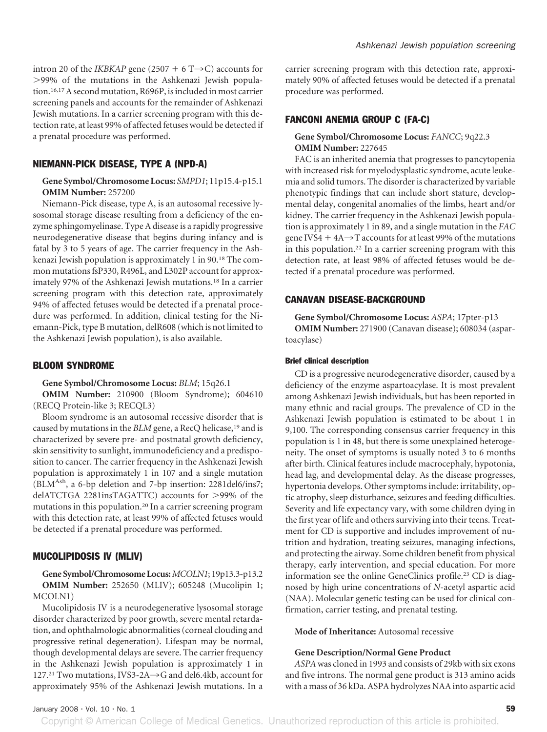intron 20 of the *IKBKAP* gene (2507 + 6 T $\rightarrow$ C) accounts for 99% of the mutations in the Ashkenazi Jewish population.16,17A second mutation, R696P, is included in most carrier screening panels and accounts for the remainder of Ashkenazi Jewish mutations. In a carrier screening program with this detection rate, at least 99% of affected fetuses would be detected if a prenatal procedure was performed.

# NIEMANN-PICK DISEASE, TYPE A (NPD-A)

## **Gene Symbol/Chromosome Locus:** *SMPD1*; 11p15.4-p15.1 **OMIM Number:** 257200

Niemann-Pick disease, type A, is an autosomal recessive lysosomal storage disease resulting from a deficiency of the enzyme sphingomyelinase. Type A disease is a rapidly progressive neurodegenerative disease that begins during infancy and is fatal by 3 to 5 years of age. The carrier frequency in the Ashkenazi Jewish population is approximately 1 in 90.18 The common mutations fsP330, R496L, and L302P account for approximately 97% of the Ashkenazi Jewish mutations.18 In a carrier screening program with this detection rate, approximately 94% of affected fetuses would be detected if a prenatal procedure was performed. In addition, clinical testing for the Niemann-Pick, type B mutation, delR608 (which is not limited to the Ashkenazi Jewish population), is also available.

## BLOOM SYNDROME

**Gene Symbol/Chromosome Locus:** *BLM*; 15q26.1

**OMIM Number:** 210900 (Bloom Syndrome); 604610 (RECQ Protein-like 3; RECQL3)

Bloom syndrome is an autosomal recessive disorder that is caused by mutations in the *BLM* gene, a RecQ helicase,<sup>19</sup> and is characterized by severe pre- and postnatal growth deficiency, skin sensitivity to sunlight, immunodeficiency and a predisposition to cancer. The carrier frequency in the Ashkenazi Jewish population is approximately 1 in 107 and a single mutation (BLMAsh, a 6-bp deletion and 7-bp insertion: 2281del6/ins7; delATCTGA 2281insTAGATTC) accounts for >99% of the mutations in this population.20 In a carrier screening program with this detection rate, at least 99% of affected fetuses would be detected if a prenatal procedure was performed.

## MUCOLIPIDOSIS IV (MLIV)

**Gene Symbol/Chromosome Locus:***MCOLN1*; 19p13.3-p13.2 **OMIM Number:** 252650 (MLIV); 605248 (Mucolipin 1; MCOLN1)

Mucolipidosis IV is a neurodegenerative lysosomal storage disorder characterized by poor growth, severe mental retardation, and ophthalmologic abnormalities (corneal clouding and progressive retinal degeneration). Lifespan may be normal, though developmental delays are severe. The carrier frequency in the Ashkenazi Jewish population is approximately 1 in 127.<sup>21</sup> Two mutations, IVS3-2A $\rightarrow$ G and del6.4kb, account for approximately 95% of the Ashkenazi Jewish mutations. In a carrier screening program with this detection rate, approximately 90% of affected fetuses would be detected if a prenatal procedure was performed.

## FANCONI ANEMIA GROUP C (FA-C)

# **Gene Symbol/Chromosome Locus:** *FANCC*; 9q22.3 **OMIM Number:** 227645

FAC is an inherited anemia that progresses to pancytopenia with increased risk for myelodysplastic syndrome, acute leukemia and solid tumors. The disorder is characterized by variable phenotypic findings that can include short stature, developmental delay, congenital anomalies of the limbs, heart and/or kidney. The carrier frequency in the Ashkenazi Jewish population is approximately 1 in 89, and a single mutation in the *FAC* gene IVS4  $+$  4A $\rightarrow$ T accounts for at least 99% of the mutations in this population.22 In a carrier screening program with this detection rate, at least 98% of affected fetuses would be detected if a prenatal procedure was performed.

## CANAVAN DISEASE-BACKGROUND

**Gene Symbol/Chromosome Locus:** *ASPA*; 17pter-p13 **OMIM Number:** 271900 (Canavan disease); 608034 (aspartoacylase)

#### Brief clinical description

CD is a progressive neurodegenerative disorder, caused by a deficiency of the enzyme aspartoacylase. It is most prevalent among Ashkenazi Jewish individuals, but has been reported in many ethnic and racial groups. The prevalence of CD in the Ashkenazi Jewish population is estimated to be about 1 in 9,100. The corresponding consensus carrier frequency in this population is 1 in 48, but there is some unexplained heterogeneity. The onset of symptoms is usually noted 3 to 6 months after birth. Clinical features include macrocephaly, hypotonia, head lag, and developmental delay. As the disease progresses, hypertonia develops. Other symptoms include: irritability, optic atrophy, sleep disturbance, seizures and feeding difficulties. Severity and life expectancy vary, with some children dying in the first year of life and others surviving into their teens. Treatment for CD is supportive and includes improvement of nutrition and hydration, treating seizures, managing infections, and protecting the airway. Some children benefit from physical therapy, early intervention, and special education. For more information see the online GeneClinics profile.23 CD is diagnosed by high urine concentrations of *N*-acetyl aspartic acid (NAA). Molecular genetic testing can be used for clinical confirmation, carrier testing, and prenatal testing.

#### **Mode of Inheritance:** Autosomal recessive

# **Gene Description/Normal Gene Product**

*ASPA*was cloned in 1993 and consists of 29kb with six exons and five introns. The normal gene product is 313 amino acids with a mass of 36 kDa. ASPA hydrolyzes NAA into aspartic acid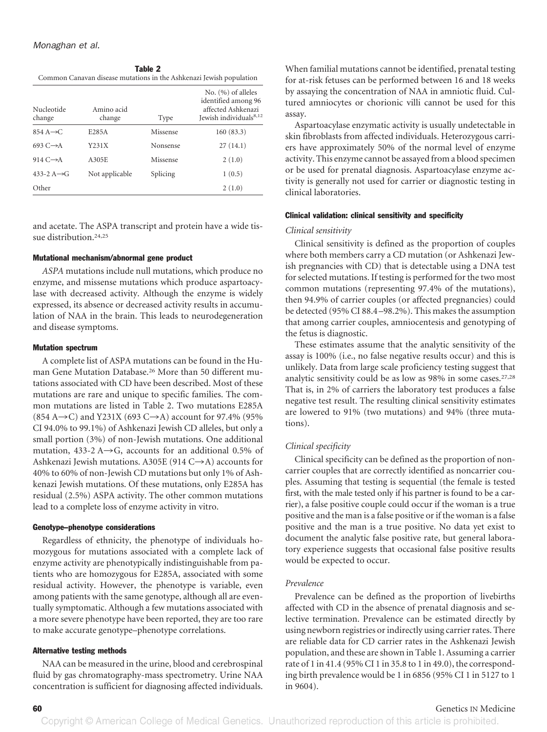Table 2 Common Canavan disease mutations in the Ashkenazi Jewish population

| Nucleotide<br>change          | Amino acid<br>change | Type     | No. $(\% )$ of alleles<br>identified among 96<br>affected Ashkenazi<br>Jewish individuals <sup>8,12</sup> |
|-------------------------------|----------------------|----------|-----------------------------------------------------------------------------------------------------------|
| 854 A $\rightarrow$ C         | E285A                | Missense | 160(83.3)                                                                                                 |
| $693 \text{ C} \rightarrow A$ | Y231X                | Nonsense | 27(14.1)                                                                                                  |
| 914 $C \rightarrow A$         | A305E                | Missense | 2(1.0)                                                                                                    |
| 433-2 $A \rightarrow G$       | Not applicable       | Splicing | 1(0.5)                                                                                                    |
| Other                         |                      |          | 2(1.0)                                                                                                    |

and acetate. The ASPA transcript and protein have a wide tissue distribution.24,25

# Mutational mechanism/abnormal gene product

*ASPA* mutations include null mutations, which produce no enzyme, and missense mutations which produce aspartoacylase with decreased activity. Although the enzyme is widely expressed, its absence or decreased activity results in accumulation of NAA in the brain. This leads to neurodegeneration and disease symptoms.

#### Mutation spectrum

A complete list of ASPA mutations can be found in the Human Gene Mutation Database.26 More than 50 different mutations associated with CD have been described. Most of these mutations are rare and unique to specific families. The common mutations are listed in Table 2. Two mutations E285A  $(854 A\rightarrow C)$  and Y231X (693 C $\rightarrow$ A) account for 97.4% (95% CI 94.0% to 99.1%) of Ashkenazi Jewish CD alleles, but only a small portion (3%) of non-Jewish mutations. One additional mutation, 433-2 A $\rightarrow$ G, accounts for an additional 0.5% of Ashkenazi Jewish mutations. A305E (914 C $\rightarrow$ A) accounts for 40% to 60% of non-Jewish CD mutations but only 1% of Ashkenazi Jewish mutations. Of these mutations, only E285A has residual (2.5%) ASPA activity. The other common mutations lead to a complete loss of enzyme activity in vitro.

## Genotype–phenotype considerations

Regardless of ethnicity, the phenotype of individuals homozygous for mutations associated with a complete lack of enzyme activity are phenotypically indistinguishable from patients who are homozygous for E285A, associated with some residual activity. However, the phenotype is variable, even among patients with the same genotype, although all are eventually symptomatic. Although a few mutations associated with a more severe phenotype have been reported, they are too rare to make accurate genotype–phenotype correlations.

## Alternative testing methods

NAA can be measured in the urine, blood and cerebrospinal fluid by gas chromatography-mass spectrometry. Urine NAA concentration is sufficient for diagnosing affected individuals.

When familial mutations cannot be identified, prenatal testing for at-risk fetuses can be performed between 16 and 18 weeks by assaying the concentration of NAA in amniotic fluid. Cultured amniocytes or chorionic villi cannot be used for this assay.

Aspartoacylase enzymatic activity is usually undetectable in skin fibroblasts from affected individuals. Heterozygous carriers have approximately 50% of the normal level of enzyme activity. This enzyme cannot be assayed from a blood specimen or be used for prenatal diagnosis. Aspartoacylase enzyme activity is generally not used for carrier or diagnostic testing in clinical laboratories.

# Clinical validation: clinical sensitivity and specificity

## *Clinical sensitivity*

Clinical sensitivity is defined as the proportion of couples where both members carry a CD mutation (or Ashkenazi Jewish pregnancies with CD) that is detectable using a DNA test for selected mutations. If testing is performed for the two most common mutations (representing 97.4% of the mutations), then 94.9% of carrier couples (or affected pregnancies) could be detected (95% CI 88.4 –98.2%). This makes the assumption that among carrier couples, amniocentesis and genotyping of the fetus is diagnostic.

These estimates assume that the analytic sensitivity of the assay is 100% (i.e., no false negative results occur) and this is unlikely. Data from large scale proficiency testing suggest that analytic sensitivity could be as low as 98% in some cases.27,28 That is, in 2% of carriers the laboratory test produces a false negative test result. The resulting clinical sensitivity estimates are lowered to 91% (two mutations) and 94% (three mutations).

# *Clinical specificity*

Clinical specificity can be defined as the proportion of noncarrier couples that are correctly identified as noncarrier couples. Assuming that testing is sequential (the female is tested first, with the male tested only if his partner is found to be a carrier), a false positive couple could occur if the woman is a true positive and the man is a false positive or if the woman is a false positive and the man is a true positive. No data yet exist to document the analytic false positive rate, but general laboratory experience suggests that occasional false positive results would be expected to occur.

## *Prevalence*

Prevalence can be defined as the proportion of livebirths affected with CD in the absence of prenatal diagnosis and selective termination. Prevalence can be estimated directly by using newborn registries or indirectly using carrier rates. There are reliable data for CD carrier rates in the Ashkenazi Jewish population, and these are shown in Table 1. Assuming a carrier rate of 1 in 41.4 (95% CI 1 in 35.8 to 1 in 49.0), the corresponding birth prevalence would be 1 in 6856 (95% CI 1 in 5127 to 1 in 9604).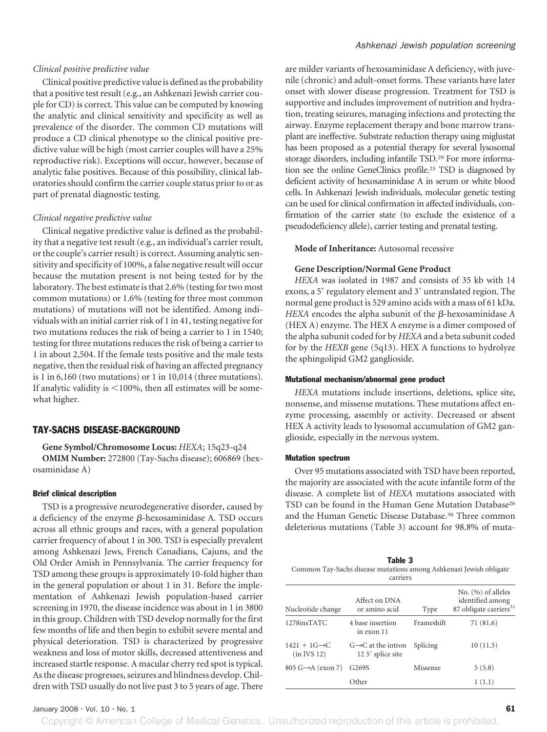## *Clinical positive predictive value*

Clinical positive predictive value is defined as the probability that a positive test result (e.g., an Ashkenazi Jewish carrier couple for CD) is correct. This value can be computed by knowing the analytic and clinical sensitivity and specificity as well as prevalence of the disorder. The common CD mutations will produce a CD clinical phenotype so the clinical positive predictive value will be high (most carrier couples will have a 25% reproductive risk). Exceptions will occur, however, because of analytic false positives. Because of this possibility, clinical laboratories should confirm the carrier couple status prior to or as part of prenatal diagnostic testing.

## *Clinical negative predictive value*

Clinical negative predictive value is defined as the probability that a negative test result (e.g., an individual's carrier result, or the couple's carrier result) is correct. Assuming analytic sensitivity and specificity of 100%, a false negative result will occur because the mutation present is not being tested for by the laboratory. The best estimate is that 2.6% (testing for two most common mutations) or 1.6% (testing for three most common mutations) of mutations will not be identified. Among individuals with an initial carrier risk of 1 in 41, testing negative for two mutations reduces the risk of being a carrier to 1 in 1540; testing for three mutations reduces the risk of being a carrier to 1 in about 2,504. If the female tests positive and the male tests negative, then the residual risk of having an affected pregnancy is 1 in 6,160 (two mutations) or 1 in 10,014 (three mutations). If analytic validity is  $<$  100%, then all estimates will be somewhat higher.

## TAY-SACHS DISEASE-BACKGROUND

**Gene Symbol/Chromosome Locus:** *HEXA*; 15q23-q24 **OMIM Number:** 272800 (Tay-Sachs disease); 606869 (hexosaminidase A)

#### Brief clinical description

TSD is a progressive neurodegenerative disorder, caused by a deficiency of the enzyme  $\beta$ -hexosaminidase A. TSD occurs across all ethnic groups and races, with a general population carrier frequency of about 1 in 300. TSD is especially prevalent among Ashkenazi Jews, French Canadians, Cajuns, and the Old Order Amish in Pennsylvania. The carrier frequency for TSD among these groups is approximately 10-fold higher than in the general population or about 1 in 31. Before the implementation of Ashkenazi Jewish population-based carrier screening in 1970, the disease incidence was about in 1 in 3800 in this group. Children with TSD develop normally for the first few months of life and then begin to exhibit severe mental and physical deterioration. TSD is characterized by progressive weakness and loss of motor skills, decreased attentiveness and increased startle response. A macular cherry red spot is typical. As the disease progresses, seizures and blindness develop. Children with TSD usually do not live past 3 to 5 years of age. There are milder variants of hexosaminidase A deficiency, with juvenile (chronic) and adult-onset forms. These variants have later onset with slower disease progression. Treatment for TSD is supportive and includes improvement of nutrition and hydration, treating seizures, managing infections and protecting the airway. Enzyme replacement therapy and bone marrow transplant are ineffective. Substrate reduction therapy using miglustat has been proposed as a potential therapy for several lysosomal storage disorders, including infantile TSD.29 For more information see the online GeneClinics profile.23 TSD is diagnosed by deficient activity of hexosaminidase A in serum or white blood cells. In Ashkenazi Jewish individuals, molecular genetic testing can be used for clinical confirmation in affected individuals, confirmation of the carrier state (to exclude the existence of a pseudodeficiency allele), carrier testing and prenatal testing.

**Mode of Inheritance:** Autosomal recessive

#### **Gene Description/Normal Gene Product**

*HEXA* was isolated in 1987 and consists of 35 kb with 14 exons, a 5' regulatory element and 3' untranslated region. The normal gene product is 529 amino acids with a mass of 61 kDa.  $HEXA$  encodes the alpha subunit of the  $\beta$ -hexosaminidase A (HEX A) enzyme. The HEX A enzyme is a dimer composed of the alpha subunit coded for by *HEXA* and a beta subunit coded for by the *HEXB* gene (5q13). HEX A functions to hydrolyze the sphingolipid GM2 ganglioside.

# Mutational mechanism/abnormal gene product

*HEXA* mutations include insertions, deletions, splice site, nonsense, and missense mutations. These mutations affect enzyme processing, assembly or activity. Decreased or absent HEX A activity leads to lysosomal accumulation of GM2 ganglioside, especially in the nervous system.

## Mutation spectrum

Over 95 mutations associated with TSD have been reported, the majority are associated with the acute infantile form of the disease. A complete list of *HEXA* mutations associated with TSD can be found in the Human Gene Mutation Database<sup>26</sup> and the Human Genetic Disease Database.30 Three common deleterious mutations (Table 3) account for 98.8% of muta-

| Table 3                                                            |
|--------------------------------------------------------------------|
| Common Tay-Sachs disease mutations among Ashkenazi Jewish obligate |
| carriers                                                           |

| Nucleotide change                        | Affect on DNA<br>or amino acid                      | Type       | No. $(\%)$ of alleles<br>identified among<br>87 obligate carriers $31$ |
|------------------------------------------|-----------------------------------------------------|------------|------------------------------------------------------------------------|
| 1278insTATC                              | 4 base insertion<br>in exon 11                      | Frameshift | 71 (81.6)                                                              |
| $1421 + 1G \rightarrow C$<br>(in IVS 12) | $G\rightarrow C$ at the intron<br>12 5' splice site | Splicing   | 10(11.5)                                                               |
| 805 G $\rightarrow$ A (exon 7)           | G <sub>269</sub> S                                  | Missense   | 5(5.8)                                                                 |
|                                          | Other                                               |            | 1(1.1)                                                                 |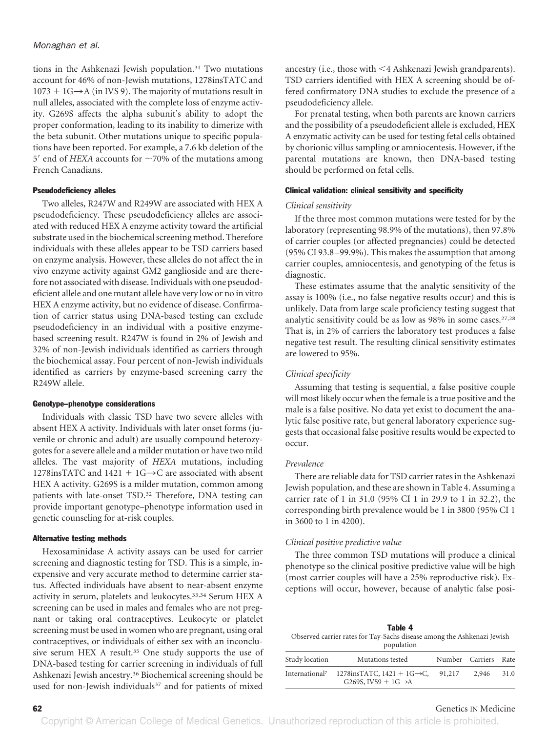tions in the Ashkenazi Jewish population.<sup>31</sup> Two mutations account for 46% of non-Jewish mutations, 1278insTATC and  $1073 + 1G \rightarrow A$  (in IVS 9). The majority of mutations result in null alleles, associated with the complete loss of enzyme activity. G269S affects the alpha subunit's ability to adopt the proper conformation, leading to its inability to dimerize with the beta subunit. Other mutations unique to specific populations have been reported. For example, a 7.6 kb deletion of the  $5'$  end of *HEXA* accounts for  $\sim$  70% of the mutations among French Canadians.

#### Pseudodeficiency alleles

Two alleles, R247W and R249W are associated with HEX A pseudodeficiency. These pseudodeficiency alleles are associated with reduced HEX A enzyme activity toward the artificial substrate used in the biochemical screening method. Therefore individuals with these alleles appear to be TSD carriers based on enzyme analysis. However, these alleles do not affect the in vivo enzyme activity against GM2 ganglioside and are therefore not associated with disease. Individuals with one pseudodeficient allele and one mutant allele have very low or no in vitro HEX A enzyme activity, but no evidence of disease. Confirmation of carrier status using DNA-based testing can exclude pseudodeficiency in an individual with a positive enzymebased screening result. R247W is found in 2% of Jewish and 32% of non-Jewish individuals identified as carriers through the biochemical assay. Four percent of non-Jewish individuals identified as carriers by enzyme-based screening carry the R249W allele.

#### Genotype–phenotype considerations

Individuals with classic TSD have two severe alleles with absent HEX A activity. Individuals with later onset forms (juvenile or chronic and adult) are usually compound heterozygotes for a severe allele and a milder mutation or have two mild alleles. The vast majority of *HEXA* mutations, including 1278insTATC and  $1421 + 1G \rightarrow C$  are associated with absent HEX A activity. G269S is a milder mutation, common among patients with late-onset TSD.<sup>32</sup> Therefore, DNA testing can provide important genotype–phenotype information used in genetic counseling for at-risk couples.

#### Alternative testing methods

Hexosaminidase A activity assays can be used for carrier screening and diagnostic testing for TSD. This is a simple, inexpensive and very accurate method to determine carrier status. Affected individuals have absent to near-absent enzyme activity in serum, platelets and leukocytes.33,34 Serum HEX A screening can be used in males and females who are not pregnant or taking oral contraceptives. Leukocyte or platelet screening must be used in women who are pregnant, using oral contraceptives, or individuals of either sex with an inconclusive serum HEX A result.<sup>35</sup> One study supports the use of DNA-based testing for carrier screening in individuals of full Ashkenazi Jewish ancestry.36 Biochemical screening should be used for non-Jewish individuals<sup>37</sup> and for patients of mixed ancestry (i.e., those with <4 Ashkenazi Jewish grandparents). TSD carriers identified with HEX A screening should be offered confirmatory DNA studies to exclude the presence of a pseudodeficiency allele.

For prenatal testing, when both parents are known carriers and the possibility of a pseudodeficient allele is excluded, HEX A enzymatic activity can be used for testing fetal cells obtained by chorionic villus sampling or amniocentesis. However, if the parental mutations are known, then DNA-based testing should be performed on fetal cells.

#### Clinical validation: clinical sensitivity and specificity

## *Clinical sensitivity*

If the three most common mutations were tested for by the laboratory (representing 98.9% of the mutations), then 97.8% of carrier couples (or affected pregnancies) could be detected (95% CI 93.8 –99.9%). This makes the assumption that among carrier couples, amniocentesis, and genotyping of the fetus is diagnostic.

These estimates assume that the analytic sensitivity of the assay is 100% (i.e., no false negative results occur) and this is unlikely. Data from large scale proficiency testing suggest that analytic sensitivity could be as low as 98% in some cases.27,28 That is, in 2% of carriers the laboratory test produces a false negative test result. The resulting clinical sensitivity estimates are lowered to 95%.

#### *Clinical specificity*

Assuming that testing is sequential, a false positive couple will most likely occur when the female is a true positive and the male is a false positive. No data yet exist to document the analytic false positive rate, but general laboratory experience suggests that occasional false positive results would be expected to occur.

#### *Prevalence*

There are reliable data for TSD carrier rates in the Ashkenazi Jewish population, and these are shown in Table 4. Assuming a carrier rate of 1 in 31.0 (95% CI 1 in 29.9 to 1 in 32.2), the corresponding birth prevalence would be 1 in 3800 (95% CI 1 in 3600 to 1 in 4200).

## *Clinical positive predictive value*

The three common TSD mutations will produce a clinical phenotype so the clinical positive predictive value will be high (most carrier couples will have a 25% reproductive risk). Exceptions will occur, however, because of analytic false posi-

| Table 4                                                                 |  |  |  |  |  |
|-------------------------------------------------------------------------|--|--|--|--|--|
| Observed carrier rates for Tay-Sachs disease among the Ashkenazi Jewish |  |  |  |  |  |
| population                                                              |  |  |  |  |  |

| Study location             | Mutations tested                                                                    | Number Carriers Rate |      |
|----------------------------|-------------------------------------------------------------------------------------|----------------------|------|
| International <sup>7</sup> | 1278insTATC, $1421 + 1G \rightarrow C$ , 91,217<br>G269S, IVS9 + $1G \rightarrow A$ | 2.946                | 31.0 |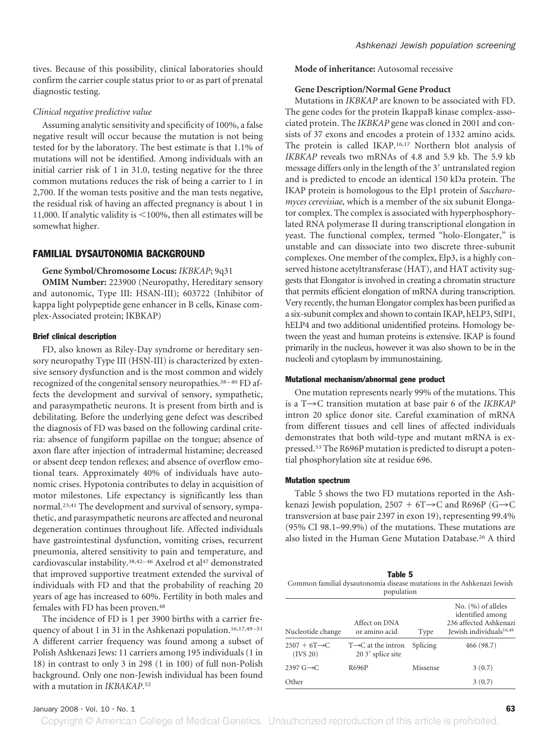tives. Because of this possibility, clinical laboratories should confirm the carrier couple status prior to or as part of prenatal diagnostic testing.

## *Clinical negative predictive value*

Assuming analytic sensitivity and specificity of 100%, a false negative result will occur because the mutation is not being tested for by the laboratory. The best estimate is that 1.1% of mutations will not be identified. Among individuals with an initial carrier risk of 1 in 31.0, testing negative for the three common mutations reduces the risk of being a carrier to 1 in 2,700. If the woman tests positive and the man tests negative, the residual risk of having an affected pregnancy is about 1 in 11,000. If analytic validity is  $\leq$  100%, then all estimates will be somewhat higher.

# FAMILIAL DYSAUTONOMIA BACKGROUND

## **Gene Symbol/Chromosome Locus:** *IKBKAP*; 9q31

**OMIM Number:** 223900 (Neuropathy, Hereditary sensory and autonomic, Type III: HSAN-III); 603722 (Inhibitor of kappa light polypeptide gene enhancer in B cells, Kinase complex-Associated protein; IKBKAP)

#### Brief clinical description

FD, also known as Riley-Day syndrome or hereditary sensory neuropathy Type III (HSN-III) is characterized by extensive sensory dysfunction and is the most common and widely recognized of the congenital sensory neuropathies.<sup>38-40</sup> FD affects the development and survival of sensory, sympathetic, and parasympathetic neurons. It is present from birth and is debilitating. Before the underlying gene defect was described the diagnosis of FD was based on the following cardinal criteria: absence of fungiform papillae on the tongue; absence of axon flare after injection of intradermal histamine; decreased or absent deep tendon reflexes; and absence of overflow emotional tears. Approximately 40% of individuals have autonomic crises. Hypotonia contributes to delay in acquisition of motor milestones. Life expectancy is significantly less than normal.23,41 The development and survival of sensory, sympathetic, and parasympathetic neurons are affected and neuronal degeneration continues throughout life. Affected individuals have gastrointestinal dysfunction, vomiting crises, recurrent pneumonia, altered sensitivity to pain and temperature, and cardiovascular instability.<sup>38,42-46</sup> Axelrod et al<sup>47</sup> demonstrated that improved supportive treatment extended the survival of individuals with FD and that the probability of reaching 20 years of age has increased to 60%. Fertility in both males and females with FD has been proven.<sup>48</sup>

The incidence of FD is 1 per 3900 births with a carrier frequency of about 1 in 31 in the Ashkenazi population.<sup>16,17,49-51</sup> A different carrier frequency was found among a subset of Polish Ashkenazi Jews: 11 carriers among 195 individuals (1 in 18) in contrast to only 3 in 298 (1 in 100) of full non-Polish background. Only one non-Jewish individual has been found with a mutation in *IKBAKAP.*<sup>52</sup>

## **Mode of inheritance:** Autosomal recessive

#### **Gene Description/Normal Gene Product**

Mutations in *IKBKAP* are known to be associated with FD. The gene codes for the protein IkappaB kinase complex-associated protein. The *IKBKAP* gene was cloned in 2001 and consists of 37 exons and encodes a protein of 1332 amino acids. The protein is called IKAP.16,17 Northern blot analysis of *IKBKAP* reveals two mRNAs of 4.8 and 5.9 kb. The 5.9 kb message differs only in the length of the 3' untranslated region and is predicted to encode an identical 150 kDa protein. The IKAP protein is homologous to the Elp1 protein of *Saccharomyces cerevisiae,* which is a member of the six subunit Elongator complex. The complex is associated with hyperphosphorylated RNA polymerase II during transcriptional elongation in yeast. The functional complex, termed "holo-Elongater," is unstable and can dissociate into two discrete three-subunit complexes. One member of the complex, Elp3, is a highly conserved histone acetyltransferase (HAT), and HAT activity suggests that Elongator is involved in creating a chromatin structure that permits efficient elongation of mRNA during transcription. Very recently, the human Elongator complex has been purified as a six-subunit complex and shown to contain IKAP, hELP3, StIP1, hELP4 and two additional unidentified proteins. Homology between the yeast and human proteins is extensive. IKAP is found primarily in the nucleus, however it was also shown to be in the nucleoli and cytoplasm by immunostaining.

#### Mutational mechanism/abnormal gene product

One mutation represents nearly 99% of the mutations. This is a T $\rightarrow$ C transition mutation at base pair 6 of the *IKBKAP* intron 20 splice donor site. Careful examination of mRNA from different tissues and cell lines of affected individuals demonstrates that both wild-type and mutant mRNA is expressed.53 The R696P mutation is predicted to disrupt a potential phosphorylation site at residue 696.

# Mutation spectrum

Table 5 shows the two FD mutations reported in the Ashkenazi Jewish population,  $2507 + 6T \rightarrow C$  and R696P (G $\rightarrow$ C transversion at base pair 2397 in exon 19), representing 99.4% (95% CI 98.1–99.9%) of the mutations. These mutations are also listed in the Human Gene Mutation Database.26 A third

| Table 5<br>Common familial dysautonomia disease mutations in the Ashkenazi Jewish<br>population |                                                     |          |                                                                                                             |  |  |  |  |
|-------------------------------------------------------------------------------------------------|-----------------------------------------------------|----------|-------------------------------------------------------------------------------------------------------------|--|--|--|--|
| Nucleotide change                                                                               | Affect on DNA<br>or amino acid                      | Type     | No. $(\% )$ of alleles<br>identified among<br>236 affected Ashkenazi<br>Jewish individuals <sup>16,49</sup> |  |  |  |  |
| $2507 + 6T \rightarrow C$<br>(IVS <sub>20</sub> )                                               | $T\rightarrow C$ at the intron<br>20 3' splice site | Splicing | 466 (98.7)                                                                                                  |  |  |  |  |
| 2397 $G \rightarrow C$                                                                          | R696P                                               | Missense | 3(0.7)                                                                                                      |  |  |  |  |
| Other                                                                                           |                                                     |          | 3(0.7)                                                                                                      |  |  |  |  |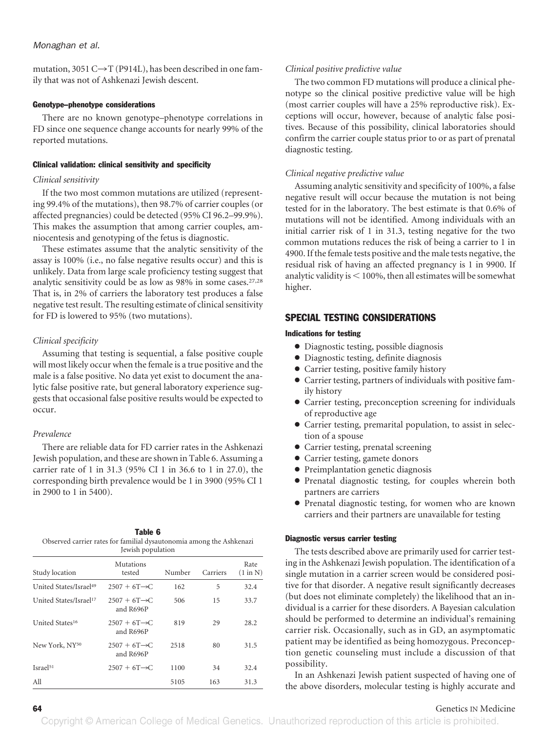mutation, 3051 C $\rightarrow$ T (P914L), has been described in one family that was not of Ashkenazi Jewish descent.

## Genotype–phenotype considerations

There are no known genotype–phenotype correlations in FD since one sequence change accounts for nearly 99% of the reported mutations.

# Clinical validation: clinical sensitivity and specificity

# *Clinical sensitivity*

If the two most common mutations are utilized (representing 99.4% of the mutations), then 98.7% of carrier couples (or affected pregnancies) could be detected (95% CI 96.2–99.9%). This makes the assumption that among carrier couples, amniocentesis and genotyping of the fetus is diagnostic.

These estimates assume that the analytic sensitivity of the assay is 100% (i.e., no false negative results occur) and this is unlikely. Data from large scale proficiency testing suggest that analytic sensitivity could be as low as 98% in some cases.27,28 That is, in 2% of carriers the laboratory test produces a false negative test result. The resulting estimate of clinical sensitivity for FD is lowered to 95% (two mutations).

# *Clinical specificity*

Assuming that testing is sequential, a false positive couple will most likely occur when the female is a true positive and the male is a false positive. No data yet exist to document the analytic false positive rate, but general laboratory experience suggests that occasional false positive results would be expected to occur.

# *Prevalence*

There are reliable data for FD carrier rates in the Ashkenazi Jewish population, and these are shown in Table 6. Assuming a carrier rate of 1 in 31.3 (95% CI 1 in 36.6 to 1 in 27.0), the corresponding birth prevalence would be 1 in 3900 (95% CI 1 in 2900 to 1 in 5400).

| Table 6                                                              |
|----------------------------------------------------------------------|
| Observed carrier rates for familial dysautonomia among the Ashkenazi |
| Jewish population                                                    |

| Study location                     | Mutations<br>tested                    | Number | Carriers | Rate<br>$(1 \text{ in } N)$ |  |  |  |  |
|------------------------------------|----------------------------------------|--------|----------|-----------------------------|--|--|--|--|
| United States/Israel <sup>49</sup> | $2507 + 6T \rightarrow C$              | 162    | 5        | 32.4                        |  |  |  |  |
| United States/Israel <sup>17</sup> | $2507 + 6T \rightarrow C$<br>and R696P | 506    | 15       | 33.7                        |  |  |  |  |
| United States <sup>16</sup>        | $2507 + 6T \rightarrow C$<br>and R696P | 819    | 29       | 28.2                        |  |  |  |  |
| New York, NY <sup>50</sup>         | $2507 + 6T \rightarrow C$<br>and R696P | 2518   | 80       | 31.5                        |  |  |  |  |
| Israel <sup>51</sup>               | $2507 + 6T \rightarrow C$              | 1100   | 34       | 32.4                        |  |  |  |  |
| All                                |                                        | 5105   | 163      | 31.3                        |  |  |  |  |

# *Clinical positive predictive value*

The two common FD mutations will produce a clinical phenotype so the clinical positive predictive value will be high (most carrier couples will have a 25% reproductive risk). Exceptions will occur, however, because of analytic false positives. Because of this possibility, clinical laboratories should confirm the carrier couple status prior to or as part of prenatal diagnostic testing.

# *Clinical negative predictive value*

Assuming analytic sensitivity and specificity of 100%, a false negative result will occur because the mutation is not being tested for in the laboratory. The best estimate is that 0.6% of mutations will not be identified. Among individuals with an initial carrier risk of 1 in 31.3, testing negative for the two common mutations reduces the risk of being a carrier to 1 in 4900. If the female tests positive and the male tests negative, the residual risk of having an affected pregnancy is 1 in 9900. If analytic validity is  $<$  100%, then all estimates will be somewhat higher.

# SPECIAL TESTING CONSIDERATIONS

# Indications for testing

- Diagnostic testing, possible diagnosis
- Diagnostic testing, definite diagnosis
- Carrier testing, positive family history
- Carrier testing, partners of individuals with positive family history
- Carrier testing, preconception screening for individuals of reproductive age
- Carrier testing, premarital population, to assist in selection of a spouse
- Carrier testing, prenatal screening
- Carrier testing, gamete donors
- Preimplantation genetic diagnosis
- Prenatal diagnostic testing, for couples wherein both partners are carriers
- Prenatal diagnostic testing, for women who are known carriers and their partners are unavailable for testing

# Diagnostic versus carrier testing

The tests described above are primarily used for carrier testing in the Ashkenazi Jewish population. The identification of a single mutation in a carrier screen would be considered positive for that disorder. A negative result significantly decreases (but does not eliminate completely) the likelihood that an individual is a carrier for these disorders. A Bayesian calculation should be performed to determine an individual's remaining carrier risk. Occasionally, such as in GD, an asymptomatic patient may be identified as being homozygous. Preconception genetic counseling must include a discussion of that possibility.

In an Ashkenazi Jewish patient suspected of having one of the above disorders, molecular testing is highly accurate and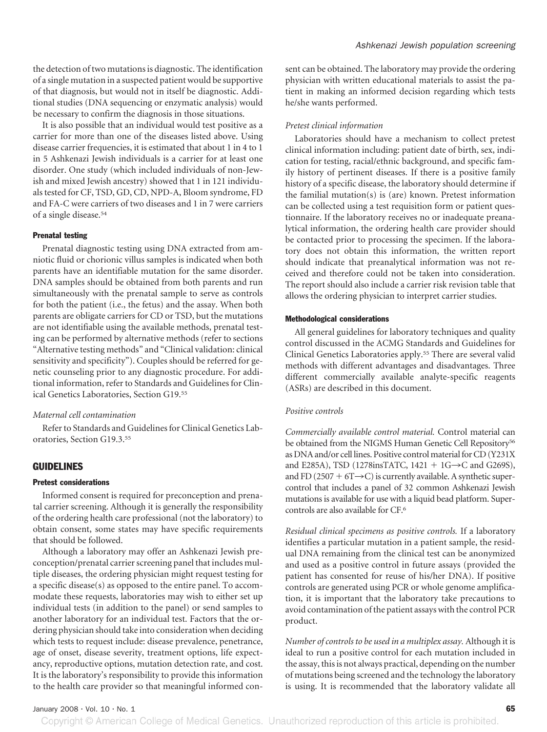the detection of two mutations is diagnostic. The identification of a single mutation in a suspected patient would be supportive of that diagnosis, but would not in itself be diagnostic. Additional studies (DNA sequencing or enzymatic analysis) would be necessary to confirm the diagnosis in those situations.

It is also possible that an individual would test positive as a carrier for more than one of the diseases listed above. Using disease carrier frequencies, it is estimated that about 1 in 4 to 1 in 5 Ashkenazi Jewish individuals is a carrier for at least one disorder. One study (which included individuals of non-Jewish and mixed Jewish ancestry) showed that 1 in 121 individuals tested for CF, TSD, GD, CD, NPD-A, Bloom syndrome, FD and FA-C were carriers of two diseases and 1 in 7 were carriers of a single disease.54

#### Prenatal testing

Prenatal diagnostic testing using DNA extracted from amniotic fluid or chorionic villus samples is indicated when both parents have an identifiable mutation for the same disorder. DNA samples should be obtained from both parents and run simultaneously with the prenatal sample to serve as controls for both the patient (i.e., the fetus) and the assay. When both parents are obligate carriers for CD or TSD, but the mutations are not identifiable using the available methods, prenatal testing can be performed by alternative methods (refer to sections "Alternative testing methods" and "Clinical validation: clinical sensitivity and specificity"). Couples should be referred for genetic counseling prior to any diagnostic procedure. For additional information, refer to Standards and Guidelines for Clinical Genetics Laboratories, Section G19.55

#### *Maternal cell contamination*

Refer to Standards and Guidelines for Clinical Genetics Laboratories, Section G19.3.55

# **GUIDELINES**

#### Pretest considerations

Informed consent is required for preconception and prenatal carrier screening. Although it is generally the responsibility of the ordering health care professional (not the laboratory) to obtain consent, some states may have specific requirements that should be followed.

Although a laboratory may offer an Ashkenazi Jewish preconception/prenatal carrier screening panel that includes multiple diseases, the ordering physician might request testing for a specific disease(s) as opposed to the entire panel. To accommodate these requests, laboratories may wish to either set up individual tests (in addition to the panel) or send samples to another laboratory for an individual test. Factors that the ordering physician should take into consideration when deciding which tests to request include: disease prevalence, penetrance, age of onset, disease severity, treatment options, life expectancy, reproductive options, mutation detection rate, and cost. It is the laboratory's responsibility to provide this information to the health care provider so that meaningful informed consent can be obtained. The laboratory may provide the ordering physician with written educational materials to assist the patient in making an informed decision regarding which tests he/she wants performed.

# *Pretest clinical information*

Laboratories should have a mechanism to collect pretest clinical information including: patient date of birth, sex, indication for testing, racial/ethnic background, and specific family history of pertinent diseases. If there is a positive family history of a specific disease, the laboratory should determine if the familial mutation(s) is (are) known. Pretest information can be collected using a test requisition form or patient questionnaire. If the laboratory receives no or inadequate preanalytical information, the ordering health care provider should be contacted prior to processing the specimen. If the laboratory does not obtain this information, the written report should indicate that preanalytical information was not received and therefore could not be taken into consideration. The report should also include a carrier risk revision table that allows the ordering physician to interpret carrier studies.

#### Methodological considerations

All general guidelines for laboratory techniques and quality control discussed in the ACMG Standards and Guidelines for Clinical Genetics Laboratories apply.55 There are several valid methods with different advantages and disadvantages. Three different commercially available analyte-specific reagents (ASRs) are described in this document.

## *Positive controls*

*Commercially available control material.* Control material can be obtained from the NIGMS Human Genetic Cell Repository<sup>56</sup> as DNA and/or cell lines. Positive control material for CD (Y231X and E285A), TSD (1278insTATC,  $1421 + 1G \rightarrow C$  and G269S), and FD (2507  $+$  6T $\rightarrow$ C) is currently available. A synthetic supercontrol that includes a panel of 32 common Ashkenazi Jewish mutations is available for use with a liquid bead platform. Supercontrols are also available for CF.6

*Residual clinical specimens as positive controls.* If a laboratory identifies a particular mutation in a patient sample, the residual DNA remaining from the clinical test can be anonymized and used as a positive control in future assays (provided the patient has consented for reuse of his/her DNA). If positive controls are generated using PCR or whole genome amplification, it is important that the laboratory take precautions to avoid contamination of the patient assays with the control PCR product.

*Number of controls to be used in a multiplex assay.* Although it is ideal to run a positive control for each mutation included in the assay, this is not always practical, depending on the number of mutations being screened and the technology the laboratory is using. It is recommended that the laboratory validate all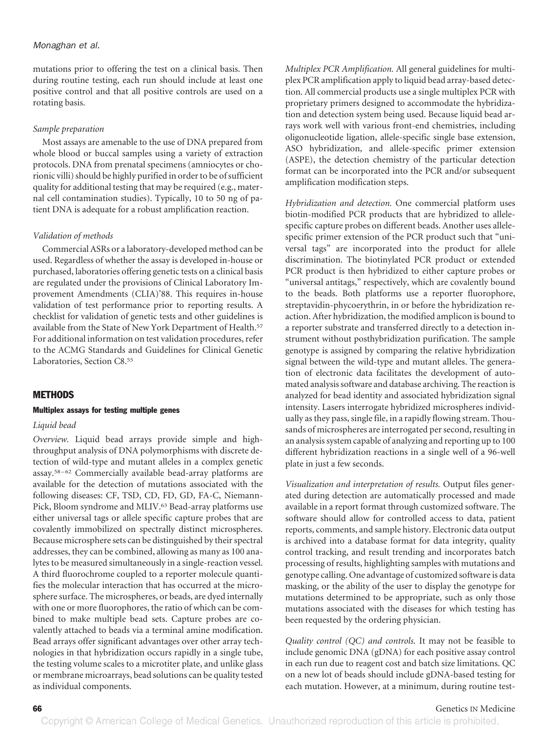mutations prior to offering the test on a clinical basis. Then during routine testing, each run should include at least one positive control and that all positive controls are used on a rotating basis.

## *Sample preparation*

Most assays are amenable to the use of DNA prepared from whole blood or buccal samples using a variety of extraction protocols. DNA from prenatal specimens (amniocytes or chorionic villi) should be highly purified in order to be of sufficient quality for additional testing that may be required (e.g., maternal cell contamination studies). Typically, 10 to 50 ng of patient DNA is adequate for a robust amplification reaction.

#### *Validation of methods*

Commercial ASRs or a laboratory-developed method can be used. Regardless of whether the assay is developed in-house or purchased, laboratories offering genetic tests on a clinical basis are regulated under the provisions of Clinical Laboratory Improvement Amendments (CLIA)'88. This requires in-house validation of test performance prior to reporting results. A checklist for validation of genetic tests and other guidelines is available from the State of New York Department of Health.<sup>57</sup> For additional information on test validation procedures, refer to the ACMG Standards and Guidelines for Clinical Genetic Laboratories, Section C8.55

# **METHODS**

## Multiplex assays for testing multiple genes

#### *Liquid bead*

*Overview.* Liquid bead arrays provide simple and highthroughput analysis of DNA polymorphisms with discrete detection of wild-type and mutant alleles in a complex genetic assay.58–62 Commercially available bead-array platforms are available for the detection of mutations associated with the following diseases: CF, TSD, CD, FD, GD, FA-C, Niemann-Pick, Bloom syndrome and MLIV.<sup>63</sup> Bead-array platforms use either universal tags or allele specific capture probes that are covalently immobilized on spectrally distinct microspheres. Because microsphere sets can be distinguished by their spectral addresses, they can be combined, allowing as many as 100 analytes to be measured simultaneously in a single-reaction vessel. A third fluorochrome coupled to a reporter molecule quantifies the molecular interaction that has occurred at the microsphere surface. The microspheres, or beads, are dyed internally with one or more fluorophores, the ratio of which can be combined to make multiple bead sets. Capture probes are covalently attached to beads via a terminal amine modification. Bead arrays offer significant advantages over other array technologies in that hybridization occurs rapidly in a single tube, the testing volume scales to a microtiter plate, and unlike glass or membrane microarrays, bead solutions can be quality tested as individual components.

*Multiplex PCR Amplification.* All general guidelines for multiplex PCR amplification apply to liquid bead array-based detection. All commercial products use a single multiplex PCR with proprietary primers designed to accommodate the hybridization and detection system being used. Because liquid bead arrays work well with various front-end chemistries, including oligonucleotide ligation, allele-specific single base extension, ASO hybridization, and allele-specific primer extension (ASPE), the detection chemistry of the particular detection format can be incorporated into the PCR and/or subsequent amplification modification steps.

*Hybridization and detection.* One commercial platform uses biotin-modified PCR products that are hybridized to allelespecific capture probes on different beads. Another uses allelespecific primer extension of the PCR product such that "universal tags" are incorporated into the product for allele discrimination. The biotinylated PCR product or extended PCR product is then hybridized to either capture probes or "universal antitags," respectively, which are covalently bound to the beads. Both platforms use a reporter fluorophore, streptavidin-phycoerythrin, in or before the hybridization reaction. After hybridization, the modified amplicon is bound to a reporter substrate and transferred directly to a detection instrument without posthybridization purification. The sample genotype is assigned by comparing the relative hybridization signal between the wild-type and mutant alleles. The generation of electronic data facilitates the development of automated analysis software and database archiving. The reaction is analyzed for bead identity and associated hybridization signal intensity. Lasers interrogate hybridized microspheres individually as they pass, single file, in a rapidly flowing stream. Thousands of microspheres are interrogated per second, resulting in an analysis system capable of analyzing and reporting up to 100 different hybridization reactions in a single well of a 96-well plate in just a few seconds.

*Visualization and interpretation of results.* Output files generated during detection are automatically processed and made available in a report format through customized software. The software should allow for controlled access to data, patient reports, comments, and sample history. Electronic data output is archived into a database format for data integrity, quality control tracking, and result trending and incorporates batch processing of results, highlighting samples with mutations and genotype calling. One advantage of customized software is data masking, or the ability of the user to display the genotype for mutations determined to be appropriate, such as only those mutations associated with the diseases for which testing has been requested by the ordering physician.

*Quality control (QC) and controls.* It may not be feasible to include genomic DNA (gDNA) for each positive assay control in each run due to reagent cost and batch size limitations. QC on a new lot of beads should include gDNA-based testing for each mutation. However, at a minimum, during routine test-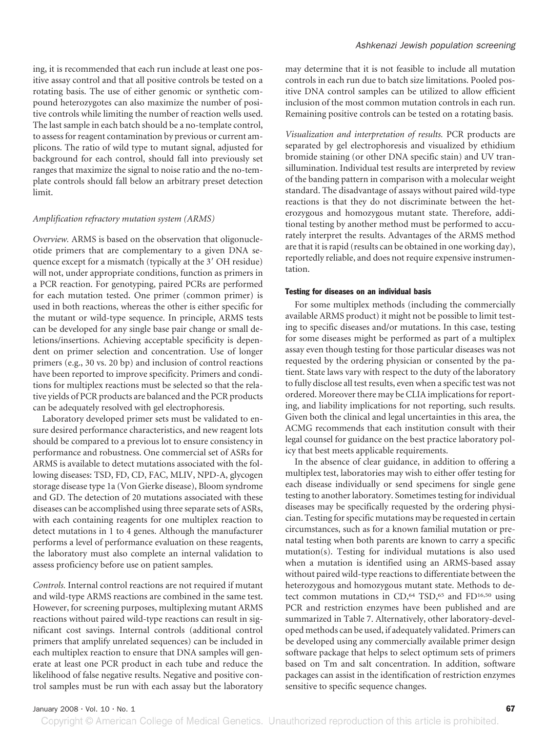ing, it is recommended that each run include at least one positive assay control and that all positive controls be tested on a rotating basis. The use of either genomic or synthetic compound heterozygotes can also maximize the number of positive controls while limiting the number of reaction wells used. The last sample in each batch should be a no-template control, to assess for reagent contamination by previous or current amplicons. The ratio of wild type to mutant signal, adjusted for background for each control, should fall into previously set ranges that maximize the signal to noise ratio and the no-template controls should fall below an arbitrary preset detection limit.

## *Amplification refractory mutation system (ARMS)*

*Overview.* ARMS is based on the observation that oligonucleotide primers that are complementary to a given DNA sequence except for a mismatch (typically at the 3' OH residue) will not, under appropriate conditions, function as primers in a PCR reaction. For genotyping, paired PCRs are performed for each mutation tested. One primer (common primer) is used in both reactions, whereas the other is either specific for the mutant or wild-type sequence. In principle, ARMS tests can be developed for any single base pair change or small deletions/insertions. Achieving acceptable specificity is dependent on primer selection and concentration. Use of longer primers (e.g., 30 vs. 20 bp) and inclusion of control reactions have been reported to improve specificity. Primers and conditions for multiplex reactions must be selected so that the relative yields of PCR products are balanced and the PCR products can be adequately resolved with gel electrophoresis.

Laboratory developed primer sets must be validated to ensure desired performance characteristics, and new reagent lots should be compared to a previous lot to ensure consistency in performance and robustness. One commercial set of ASRs for ARMS is available to detect mutations associated with the following diseases: TSD, FD, CD, FAC, MLIV, NPD-A, glycogen storage disease type 1a (Von Gierke disease), Bloom syndrome and GD. The detection of 20 mutations associated with these diseases can be accomplished using three separate sets of ASRs, with each containing reagents for one multiplex reaction to detect mutations in 1 to 4 genes. Although the manufacturer performs a level of performance evaluation on these reagents, the laboratory must also complete an internal validation to assess proficiency before use on patient samples.

*Controls.* Internal control reactions are not required if mutant and wild-type ARMS reactions are combined in the same test. However, for screening purposes, multiplexing mutant ARMS reactions without paired wild-type reactions can result in significant cost savings. Internal controls (additional control primers that amplify unrelated sequences) can be included in each multiplex reaction to ensure that DNA samples will generate at least one PCR product in each tube and reduce the likelihood of false negative results. Negative and positive control samples must be run with each assay but the laboratory may determine that it is not feasible to include all mutation controls in each run due to batch size limitations. Pooled positive DNA control samples can be utilized to allow efficient inclusion of the most common mutation controls in each run. Remaining positive controls can be tested on a rotating basis.

*Visualization and interpretation of results.* PCR products are separated by gel electrophoresis and visualized by ethidium bromide staining (or other DNA specific stain) and UV transillumination. Individual test results are interpreted by review of the banding pattern in comparison with a molecular weight standard. The disadvantage of assays without paired wild-type reactions is that they do not discriminate between the heterozygous and homozygous mutant state. Therefore, additional testing by another method must be performed to accurately interpret the results. Advantages of the ARMS method are that it is rapid (results can be obtained in one working day), reportedly reliable, and does not require expensive instrumentation.

#### Testing for diseases on an individual basis

For some multiplex methods (including the commercially available ARMS product) it might not be possible to limit testing to specific diseases and/or mutations. In this case, testing for some diseases might be performed as part of a multiplex assay even though testing for those particular diseases was not requested by the ordering physician or consented by the patient. State laws vary with respect to the duty of the laboratory to fully disclose all test results, even when a specific test was not ordered. Moreover there may be CLIA implications for reporting, and liability implications for not reporting, such results. Given both the clinical and legal uncertainties in this area, the ACMG recommends that each institution consult with their legal counsel for guidance on the best practice laboratory policy that best meets applicable requirements.

In the absence of clear guidance, in addition to offering a multiplex test, laboratories may wish to either offer testing for each disease individually or send specimens for single gene testing to another laboratory. Sometimes testing for individual diseases may be specifically requested by the ordering physician. Testing for specific mutations may be requested in certain circumstances, such as for a known familial mutation or prenatal testing when both parents are known to carry a specific mutation(s). Testing for individual mutations is also used when a mutation is identified using an ARMS-based assay without paired wild-type reactions to differentiate between the heterozygous and homozygous mutant state. Methods to detect common mutations in CD,<sup>64</sup> TSD,<sup>65</sup> and FD<sup>16,50</sup> using PCR and restriction enzymes have been published and are summarized in Table 7. Alternatively, other laboratory-developed methods can be used, if adequately validated. Primers can be developed using any commercially available primer design software package that helps to select optimum sets of primers based on Tm and salt concentration. In addition, software packages can assist in the identification of restriction enzymes sensitive to specific sequence changes.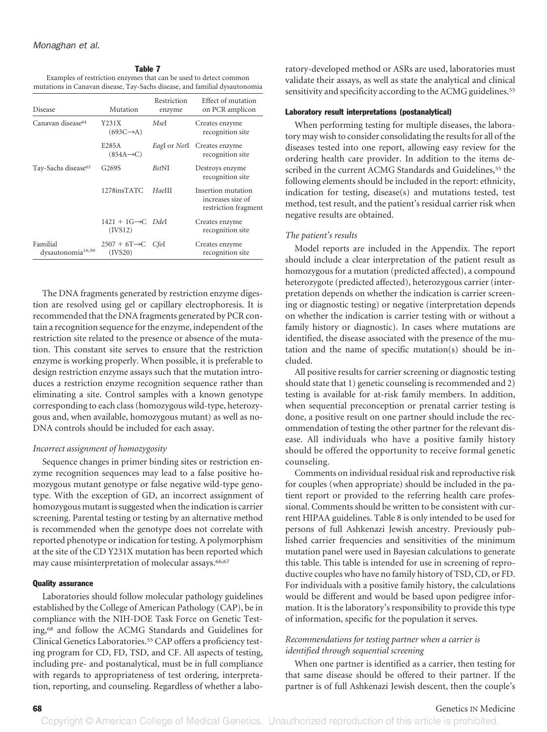| Thutations in Canavan disease, Tay-Sachs disease, and familial dysautonomia |                                           |                       |                                                                 |  |  |  |
|-----------------------------------------------------------------------------|-------------------------------------------|-----------------------|-----------------------------------------------------------------|--|--|--|
| Disease                                                                     | Mutation                                  | Restriction<br>enzyme | Effect of mutation<br>on PCR amplicon                           |  |  |  |
| Canavan disease <sup>64</sup>                                               | Y231X<br>$(693C \rightarrow A)$           | MseI                  | Creates enzyme<br>recognition site                              |  |  |  |
|                                                                             | E285A<br>$(854A \rightarrow C)$           | EagI or NotI          | Creates enzyme<br>recognition site                              |  |  |  |
| Tay-Sachs disease <sup>65</sup>                                             | G <sub>269</sub> S                        | BstNI                 | Destroys enzyme<br>recognition site                             |  |  |  |
|                                                                             | 1278insTATC                               | HaeIII                | Insertion mutation<br>increases size of<br>restriction fragment |  |  |  |
|                                                                             | $1421 + 1G \rightarrow C$ Ddel<br>(IVS12) |                       | Creates enzyme<br>recognition site                              |  |  |  |
| Familial<br>dysautonomia <sup>16,50</sup>                                   | $2507 + 6T \rightarrow C$ CfoI<br>(IVS20) |                       | Creates enzyme<br>recognition site                              |  |  |  |

Table 7 Examples of restriction enzymes that can be used to detect common<br>ations in Canavan disease. Tay, Sachs disease, and familial dysoutono mutations in Canavan disease, Tay-Sachs disease, and familial dysautonomia

The DNA fragments generated by restriction enzyme digestion are resolved using gel or capillary electrophoresis. It is recommended that the DNA fragments generated by PCR contain a recognition sequence for the enzyme, independent of the restriction site related to the presence or absence of the mutation. This constant site serves to ensure that the restriction enzyme is working properly. When possible, it is preferable to design restriction enzyme assays such that the mutation introduces a restriction enzyme recognition sequence rather than eliminating a site. Control samples with a known genotype corresponding to each class (homozygous wild-type, heterozygous and, when available, homozygous mutant) as well as no-DNA controls should be included for each assay.

#### *Incorrect assignment of homozygosity*

Sequence changes in primer binding sites or restriction enzyme recognition sequences may lead to a false positive homozygous mutant genotype or false negative wild-type genotype. With the exception of GD, an incorrect assignment of homozygous mutant is suggested when the indication is carrier screening. Parental testing or testing by an alternative method is recommended when the genotype does not correlate with reported phenotype or indication for testing. A polymorphism at the site of the CD Y231X mutation has been reported which may cause misinterpretation of molecular assays.<sup>66,67</sup>

#### Quality assurance

Laboratories should follow molecular pathology guidelines established by the College of American Pathology (CAP), be in compliance with the NIH-DOE Task Force on Genetic Testing,68 and follow the ACMG Standards and Guidelines for Clinical Genetics Laboratories.55 CAP offers a proficiency testing program for CD, FD, TSD, and CF. All aspects of testing, including pre- and postanalytical, must be in full compliance with regards to appropriateness of test ordering, interpretation, reporting, and counseling. Regardless of whether a laboratory-developed method or ASRs are used, laboratories must validate their assays, as well as state the analytical and clinical sensitivity and specificity according to the ACMG guidelines.<sup>55</sup>

#### Laboratory result interpretations (postanalytical)

When performing testing for multiple diseases, the laboratory may wish to consider consolidating the results for all of the diseases tested into one report, allowing easy review for the ordering health care provider. In addition to the items described in the current ACMG Standards and Guidelines,<sup>55</sup> the following elements should be included in the report: ethnicity, indication for testing, disease(s) and mutations tested, test method, test result, and the patient's residual carrier risk when negative results are obtained.

#### *The patient's results*

Model reports are included in the Appendix. The report should include a clear interpretation of the patient result as homozygous for a mutation (predicted affected), a compound heterozygote (predicted affected), heterozygous carrier (interpretation depends on whether the indication is carrier screening or diagnostic testing) or negative (interpretation depends on whether the indication is carrier testing with or without a family history or diagnostic). In cases where mutations are identified, the disease associated with the presence of the mutation and the name of specific mutation(s) should be included.

All positive results for carrier screening or diagnostic testing should state that 1) genetic counseling is recommended and 2) testing is available for at-risk family members. In addition, when sequential preconception or prenatal carrier testing is done, a positive result on one partner should include the recommendation of testing the other partner for the relevant disease. All individuals who have a positive family history should be offered the opportunity to receive formal genetic counseling.

Comments on individual residual risk and reproductive risk for couples (when appropriate) should be included in the patient report or provided to the referring health care professional. Comments should be written to be consistent with current HIPAA guidelines. Table 8 is only intended to be used for persons of full Ashkenazi Jewish ancestry. Previously published carrier frequencies and sensitivities of the minimum mutation panel were used in Bayesian calculations to generate this table. This table is intended for use in screening of reproductive couples who have no family history of TSD, CD, or FD. For individuals with a positive family history, the calculations would be different and would be based upon pedigree information. It is the laboratory's responsibility to provide this type of information, specific for the population it serves.

# *Recommendations for testing partner when a carrier is identified through sequential screening*

When one partner is identified as a carrier, then testing for that same disease should be offered to their partner. If the partner is of full Ashkenazi Jewish descent, then the couple's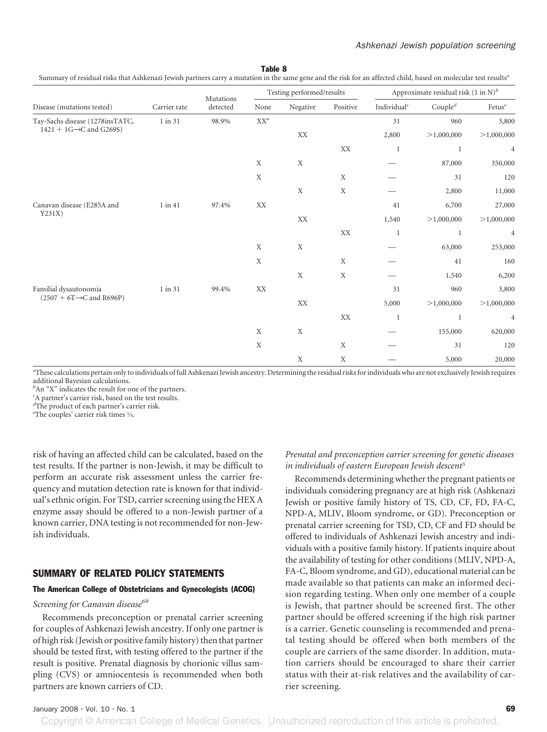## Table 8

Summary of residual risks that Ashkenazi Jewish partners carry a mutation in the same gene and the risk for an affected child, based on molecular test results*<sup>a</sup>*

|                                       |              | Testing performed/results<br>Mutations |                           |             |                         | Approximate residual risk $(1 \text{ in } N)^b$ |                                  |                |
|---------------------------------------|--------------|----------------------------------------|---------------------------|-------------|-------------------------|-------------------------------------------------|----------------------------------|----------------|
| Disease (mutations tested)            | Carrier rate | detected                               | None                      | Negative    | Positive                | Individual <sup><math>c</math></sup>            | Couple <sup><math>d</math></sup> | Fetus $e$      |
| Tay-Sachs disease (1278insTATC,       | 1 in 31      | 98.9%                                  | $\mathbf{X} \mathbf{X}^a$ |             |                         | 31                                              | 960                              | 3,800          |
| $1421 + 1G \rightarrow C$ and G269S)  |              |                                        |                           | XX          |                         | 2,800                                           | >1,000,000                       | >1,000,000     |
|                                       |              |                                        |                           |             | XX                      | $\mathbf{1}$                                    | $\mathbf{1}$                     | $\overline{4}$ |
|                                       |              |                                        | X                         | $\mathbf X$ |                         |                                                 | 87,000                           | 350,000        |
|                                       |              |                                        | $\mathbf X$               |             | X                       |                                                 | 31                               | 120            |
|                                       |              |                                        |                           | X           | $\mathbf X$             |                                                 | 2,800                            | 11,000         |
| Canavan disease (E285A and            | $1$ in $41$  | 97.4%                                  | XX                        |             |                         | 41                                              | 6,700                            | 27,000         |
| Y231X)                                |              |                                        |                           | XX          |                         | 1,540                                           | >1,000,000                       | >1,000,000     |
|                                       |              |                                        |                           |             | $\mathbf{X} \mathbf{X}$ | $\mathbf{1}$                                    | $\mathbf{1}$                     | $\overline{4}$ |
|                                       |              |                                        | X                         | $\mathbf X$ |                         |                                                 | 63,000                           | 253,000        |
|                                       |              |                                        | X                         |             | X                       |                                                 | 41                               | 160            |
|                                       |              |                                        |                           | $\mathbf X$ | X                       |                                                 | 1,540                            | 6,200          |
| Familial dysautonomia                 | 1 in 31      | 99.4%                                  | XX                        |             |                         | 31                                              | 960                              | 3,800          |
| $(2507 + 6T \rightarrow C$ and R696P) |              |                                        |                           | XX          |                         | 5,000                                           | >1,000,000                       | >1,000,000     |
|                                       |              |                                        |                           |             | XX                      | $\mathbf{1}$                                    | $\mathbf{1}$                     | $\overline{4}$ |
|                                       |              |                                        | X                         | X           |                         |                                                 | 155,000                          | 620,000        |
|                                       |              |                                        | X                         |             | X                       |                                                 | 31                               | 120            |
|                                       |              |                                        |                           | X           | $\mathbf X$             |                                                 | 5,000                            | 20,000         |

*a* These calculations pertain only to individuals of full Ashkenazi Jewish ancestry. Determining the residual risks for individuals who are not exclusively Jewish requires additional Bayesian calculations.

<sup>b</sup>An "X" indicates the result for one of the partners.

*c* A partner's carrier risk, based on the test results.

*d* The product of each partner's carrier risk.

*e* The couples' carrier risk times 1⁄4.

risk of having an affected child can be calculated, based on the test results. If the partner is non-Jewish, it may be difficult to perform an accurate risk assessment unless the carrier frequency and mutation detection rate is known for that individual's ethnic origin. For TSD, carrier screening using the HEX A enzyme assay should be offered to a non-Jewish partner of a known carrier, DNA testing is not recommended for non-Jewish individuals.

# SUMMARY OF RELATED POLICY STATEMENTS

#### The American College of Obstetricians and Gynecologists (ACOG)

# *Screening for Canavan disease69*

Recommends preconception or prenatal carrier screening for couples of Ashkenazi Jewish ancestry. If only one partner is of high risk (Jewish or positive family history) then that partner should be tested first, with testing offered to the partner if the result is positive. Prenatal diagnosis by chorionic villus sampling (CVS) or amniocentesis is recommended when both partners are known carriers of CD.

# *Prenatal and preconception carrier screening for genetic diseases in individuals of eastern European Jewish descent5*

Recommends determining whether the pregnant patients or individuals considering pregnancy are at high risk (Ashkenazi Jewish or positive family history of TS, CD, CF, FD, FA-C, NPD-A, MLIV, Bloom syndrome, or GD). Preconception or prenatal carrier screening for TSD, CD, CF and FD should be offered to individuals of Ashkenazi Jewish ancestry and individuals with a positive family history. If patients inquire about the availability of testing for other conditions (MLIV, NPD-A, FA-C, Bloom syndrome, and GD), educational material can be made available so that patients can make an informed decision regarding testing. When only one member of a couple is Jewish, that partner should be screened first. The other partner should be offered screening if the high risk partner is a carrier. Genetic counseling is recommended and prenatal testing should be offered when both members of the couple are carriers of the same disorder. In addition, mutation carriers should be encouraged to share their carrier status with their at-risk relatives and the availability of carrier screening.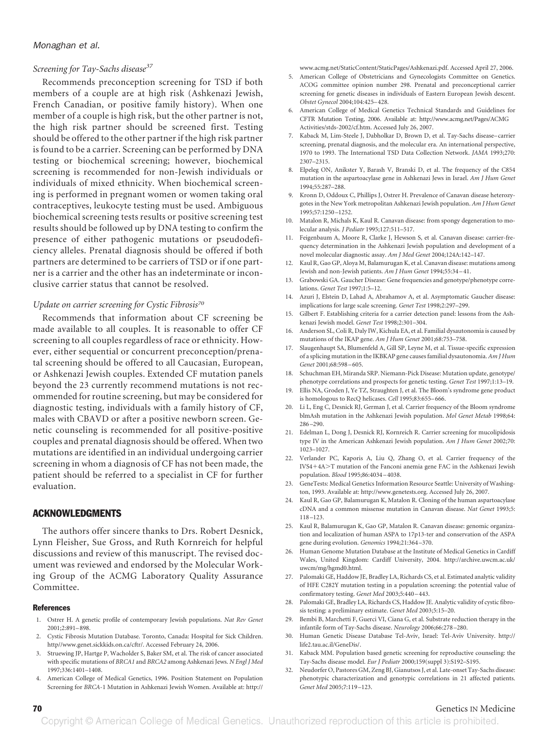## *Screening for Tay-Sachs disease37*

Recommends preconception screening for TSD if both members of a couple are at high risk (Ashkenazi Jewish, French Canadian, or positive family history). When one member of a couple is high risk, but the other partner is not, the high risk partner should be screened first. Testing should be offered to the other partner if the high risk partner is found to be a carrier. Screening can be performed by DNA testing or biochemical screening; however, biochemical screening is recommended for non-Jewish individuals or individuals of mixed ethnicity. When biochemical screening is performed in pregnant women or women taking oral contraceptives, leukocyte testing must be used. Ambiguous biochemical screening tests results or positive screening test results should be followed up by DNA testing to confirm the presence of either pathogenic mutations or pseudodeficiency alleles. Prenatal diagnosis should be offered if both partners are determined to be carriers of TSD or if one partner is a carrier and the other has an indeterminate or inconclusive carrier status that cannot be resolved.

#### *Update on carrier screening for Cystic Fibrosis70*

Recommends that information about CF screening be made available to all couples. It is reasonable to offer CF screening to all couples regardless of race or ethnicity. However, either sequential or concurrent preconception/prenatal screening should be offered to all Caucasian, European, or Ashkenazi Jewish couples. Extended CF mutation panels beyond the 23 currently recommend mutations is not recommended for routine screening, but may be considered for diagnostic testing, individuals with a family history of CF, males with CBAVD or after a positive newborn screen. Genetic counseling is recommended for all positive-positive couples and prenatal diagnosis should be offered. When two mutations are identified in an individual undergoing carrier screening in whom a diagnosis of CF has not been made, the patient should be referred to a specialist in CF for further evaluation.

# ACKNOWLEDGMENTS

The authors offer sincere thanks to Drs. Robert Desnick, Lynn Fleisher, Sue Gross, and Ruth Kornreich for helpful discussions and review of this manuscript. The revised document was reviewed and endorsed by the Molecular Working Group of the ACMG Laboratory Quality Assurance Committee.

#### **References**

- 1. Ostrer H. A genetic profile of contemporary Jewish populations. *Nat Rev Genet* 2001;2:891– 898.
- 2. Cystic Fibrosis Mutation Database. Toronto, Canada: Hospital for Sick Children. http//www.genet.sickkids.on.ca/cftr/. Accessed February 24, 2006.
- 3. Struewing JP, Hartge P, Wacholder S, Baker SM, et al. The risk of cancer associated with specific mutations of *BRCA1* and *BRCA2* among Ashkenazi Jews. *N Engl J Med* 1997;336:1401–1408.
- 4. American College of Medical Genetics, 1996. Position Statement on Population Screening for *BRCA*-1 Mutation in Ashkenazi Jewish Women. Available at: http://

www.acmg.net/StaticContent/StaticPages/Ashkenazi.pdf. Accessed April 27, 2006.

- 5. American College of Obstetricians and Gynecologists Committee on Genetics. ACOG committee opinion number 298. Prenatal and preconceptional carrier screening for genetic diseases in individuals of Eastern European Jewish descent. *Obstet Gynecol* 2004;104:425– 428.
- 6. American College of Medical Genetics Technical Standards and Guidelines for CFTR Mutation Testing, 2006. Available at: http://www.acmg.net/Pages/ACMG Activities/stds-2002/cf.htm. Accessed July 26, 2007.
- 7. Kaback M, Lim-Steele J, Dabholkar D, Brown D, et al. Tay-Sachs disease– carrier screening, prenatal diagnosis, and the molecular era. An international perspective, 1970 to 1993. The International TSD Data Collection Network. *JAMA* 1993;270: 2307–2315.
- 8. Elpeleg ON, Anikster Y, Barash V, Branski D, et al. The frequency of the C854 mutation in the aspartoacylase gene in Ashkenazi Jews in Israel. *Am J Hum Genet* 1994;55:287–288.
- 9. Kronn D, Oddoux C, Phillips J, Ostrer H. Prevalence of Canavan disease heterozygotes in the New York metropolitan Ashkenazi Jewish population. *Am J Hum Genet* 1995;57:1250 –1252.
- 10. Matalon R, Michals K, Kaul R. Canavan disease: from spongy degeneration to molecular analysis. *J Pediatr* 1995;127:511–517.
- 11. Feigenbaum A, Moore R, Clarke J, Hewson S, et al. Canavan disease: carrier-frequency determination in the Ashkenazi Jewish population and development of a novel molecular diagnostic assay. *Am J Med Genet* 2004;124A:142–147.
- 12. Kaul R, Gao GP, Aloya M, Balamurugan K, et al. Canavan disease: mutations among Jewish and non-Jewish patients. *Am J Hum Genet* 1994;55:34 – 41.
- 13. Grabowski GA. Gaucher Disease: Gene frequencies and genotype/phenotype correlations. *Genet Test* 1997;1:5–12.
- 14. Azuri J, Elstein D, Lahad A, Abrahamov A, et al. Asymptomatic Gaucher disease: implications for large scale screening. *Genet Test* 1998;2:297–299.
- 15. Gilbert F. Establishing criteria for a carrier detection panel: lessons from the Ashkenazi Jewish model. *Genet Test* 1998;2:301–304.
- 16. Anderson SL, Coli R, Daly IW, Kichula EA, et al. Familial dysautonomia is caused by mutations of the IKAP gene. *Am J Hum Genet* 2001;68:753–758.
- 17. Slaugenhaupt SA, Blumenfeld A, Gill SP, Leyne M, et al. Tissue-specific expression of a splicing mutation in the IKBKAP gene causes familial dysautonomia. *Am J Hum Genet* 2001;68:598 – 605.
- 18. Schuchman EH, Miranda SRP. Niemann-Pick Disease: Mutation update, genotype/ phenotype correlations and prospects for genetic testing. *Genet Test* 1997;1:13–19.
- 19. Ellis NA, Groden J, Ye TZ, Straughten J, et al. The Bloom's syndrome gene product is homologous to RecQ helicases. *Cell* 1995;83:655– 666.
- 20. Li L, Eng C, Desnick RJ, German J, et al. Carrier frequency of the Bloom syndrome blmAsh mutation in the Ashkenazi Jewish population. *Mol Genet Metab* 1998;64: 286 –290.
- 21. Edelman L, Dong J, Desnick RJ, Kornreich R. Carrier screening for mucolipidosis type IV in the American Ashkenazi Jewish population. *Am J Hum Genet* 2002;70: 1023–1027.
- 22. Verlander PC, Kaporis A, Liu Q, Zhang O, et al. Carrier frequency of the  $IVS4+4A>T$  mutation of the Fanconi anemia gene FAC in the Ashkenazi Jewish population. *Blood* 1995;86:4034 – 4038.
- 23. GeneTests: Medical Genetics Information Resource Seattle: University of Washington, 1993. Available at: http://www.genetests.org. Accessed July 26, 2007.
- 24. Kaul R, Gao GP, Balamurugan K, Matalon R. Cloning of the human aspartoacylase cDNA and a common missense mutation in Canavan disease. *Nat Genet* 1993;5: 118 –123.
- 25. Kaul R, Balamurugan K, Gao GP, Matalon R. Canavan disease: genomic organization and localization of human ASPA to 17p13-ter and conservation of the ASPA gene during evolution. *Genomics* 1994;21:364 –370.
- 26. Human Genome Mutation Database at the Institute of Medical Genetics in Cardiff Wales, United Kingdom: Cardiff University, 2004. http://archive.uwcm.ac.uk/ uwcm/mg/hgmd0.html.
- 27. Palomaki GE, Haddow JE, Bradley LA, Richards CS, et al. Estimated analytic validity of HFE C282Y mutation testing in a population screening: the potential value of confirmatory testing. *Genet Med* 2003;5:440 – 443.
- 28. Palomaki GE, Bradley LA, Richards CS, Haddow JE. Analytic validity of cystic fibrosis testing: a preliminary estimate. *Genet Med* 2003;5:15–20.
- 29. Bembi B, Marchetti F, Guerci VI, Ciana G, et al. Substrate reduction therapy in the infantile form of Tay-Sachs disease. *Neurology* 2006;66:278 –280.
- 30. Human Genetic Disease Database Tel-Aviv, Israel: Tel-Aviv University. http:// life2.tau.ac.il/GeneDis/.
- 31. Kaback MM. Population based genetic screening for reproductive counseling: the Tay-Sachs disease model. *Eur J Pediatr* 2000;159(suppl 3):S192–S195.
- 32. Neudorfer O, Pastores GM, Zeng BJ, Gianutsos J, et al. Late-onset Tay-Sachs disease: phenotypic characterization and genotypic correlations in 21 affected patients. *Genet Med* 2005;7:119 –123.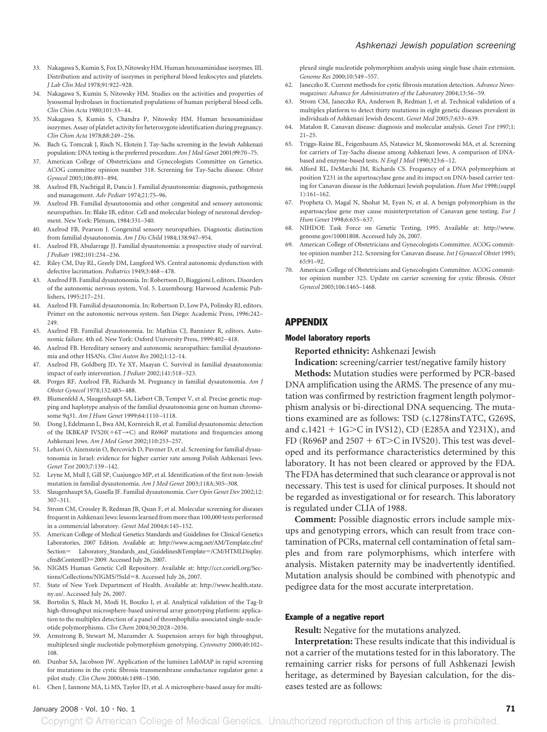- 33. Nakagawa S, Kumin S, Fox D, Nitowsky HM. Human hexosaminidase isozymes. III. Distribution and activity of isozymes in peripheral blood leukocytes and platelets. *J Lab Clin Med* 1978;91:922–928.
- 34. Nakagawa S, Kumin S, Nitowsky HM. Studies on the activities and properties of lysosomal hydrolases in fractionated populations of human peripheral blood cells. *Clin Chim Acta* 1980;101:33– 44.
- 35. Nakagawa S, Kumin S, Chandra P, Nitowsky HM. Human hexosaminidase isozymes. Assay of platelet activity for heterozygote identification during pregnancy. *Clin Chim Acta* 1978;88:249 –256.
- 36. Bach G, Tomczak J, Risch N, Ekstein J. Tay-Sachs screening in the Jewish Ashkenazi population: DNA testing is the preferred procedure. *Am J Med Genet* 2001;99:70–75.
- 37. American College of Obstetricians and Gynecologists Committee on Genetics. ACOG committee opinion number 318. Screening for Tay-Sachs disease. *Obstet Gynecol* 2005;106:893– 894.
- 38. Axelrod FB, Nachtigal R, Dancis J. Familial dysautonomia: diagnosis, pathogenesis and management. *Adv Pediatr* 1974;21:75–96.
- 39. Axelrod FB. Familial dysautonomia and other congenital and sensory autonomic neuropathies. In: Blake IB, editor. Cell and molecular biology of neuronal development. New York: Plenum, 1984:331–340.
- 40. Axelrod FB, Pearson J. Congenital sensory neuropathies. Diagnostic distinction from familial dysautonomia. *Am J Dis Child* 1984;138:947–954.
- 41. Axelrod FB, Abularrage JJ. Familial dysautonomia: a prospective study of survival. *J Pediatr* 1982;101:234 –236.
- 42. Riley CM, Day RL, Greely DM, Langford WS. Central autonomic dysfunction with defective lacrimation. *Pediatrics* 1949;3:468 – 478.
- 43. Axelrod FB. Familial dysautonomia. In: Robertson D, Biaggioni I, editors. Disorders of the autonomic nervous system, Vol. 5. Luxembourg: Harwood Academic Publishers, 1995:217–231.
- 44. Axelrod FB. Familial dysautonomia. In: Robertson D, Low PA, Polinsky RJ, editors. Primer on the autonomic nervous system. San Diego: Academic Press, 1996:242– 249.
- 45. Axelrod FB. Familial dysautonomia. In: Mathias CJ, Bannister R, editors. Autonomic failure. 4th ed. New York: Oxford University Press, 1999:402– 418.
- 46. Axelrod FB. Hereditary sensory and autonomic neuropathies: familial dysautonomia and other HSANs. *Clini Auton Res* 2002;1:12–14.
- 47. Axelrod FB, Goldberg JD, Ye XY, Maayan C. Survival in familial dysautonomia: impact of early intervention. *J Pediatr* 2002;141:518 –523.
- 48. Porges RF, Axelrod FB, Richards M. Pregnancy in familial dysautonomia. *Am J Obstet Gynecol* 1978;132:485– 488.
- 49. Blumenfeld A, Slaugenhaupt SA, Liebert CB, Temper V, et al. Precise genetic mapping and haplotype analysis of the familial dysautonomia gene on human chromosome 9q31. *Am J Hum Genet* 1999;64:1110 –1118.
- 50. Dong J, Edelmann L, Bwa AM, Kornreich R, et al. Familial dysautonomia: detection of the IKBKAP IVS20( $+6T\rightarrow C$ ) and R696P mutations and frequencies among Ashkenazi Jews. *Am J Med Genet* 2002;110:253–257.
- 51. Lehavi O, Aizenstein O, Bercovich D, Pavzner D, et al. Screening for familial dysautonomia in Israel: evidence for higher carrier rate among Polish Ashkenazi Jews. *Genet Test* 2003;7:139 –142.
- 52. Leyne M, Mull J, Gill SP, Cuajungco MP, et al. Identification of the first non-Jewish mutation in familial dysautonomia. *Am J Med Genet* 2003;118A:305–308.
- 53. Slaugenhaupt SA, Gusella JF. Familial dysautonomia. *Curr Opin Genet Dev* 2002;12: 307–311.
- 54. Strom CM, Crossley B, Redman JB, Quan F, et al. Molecular screening for diseases frequent in Ashkenazi Jews: lessons learned from more than 100,000 tests performed in a commercial laboratory. *Genet Med* 2004;6:145–152.
- 55. American College of Medical Genetics Standards and Guidelines for Clinical Genetics Laboratories, 2007 Edition. Available at: http://www.acmg.net/AM/Template.cfm? Section = Laboratory Standards and Guidelines&Template=/CM/HTMLDisplay.  $cfm\&ContentID=2009.$  Accessed July 26, 2007.
- 56. NIGMS Human Genetic Cell Repository. Available at: http://ccr.coriell.org/Sections/Collections/NIGMS/?SsId=8. Accessed July 26, 2007.
- 57. State of New York Department of Health. Available at: http://www.health.state. ny.us/. Accessed July 26, 2007.
- 58. Bortolin S, Black M, Modi H, Boszko I, et al. Analytical validation of the Tag-It high-throughput microsphere-based universal array genotyping platform: application to the multiplex detection of a panel of thrombophilia-associated single-nucleotide polymorphisms. *Clin Chem* 2004;50:2028 –2036.
- 59. Armstrong B, Stewart M, Mazumder A. Suspension arrays for high throughput, multiplexed single nucleotide polymorphism genotyping. *Cytometry* 2000;40:102– 108.
- 60. Dunbar SA, Jacobson JW. Application of the luminex LabMAP in rapid screening for mutations in the cystic fibrosis transmembrane conductance regulator gene: a pilot study. *Clin Chem* 2000;46:1498 –1500.
- 61. Chen J, Iannone MA, Li MS, Taylor JD, et al. A microsphere-based assay for multi-

plexed single nucleotide polymorphism analysis using single base chain extension. *Genome Res* 2000;10:549 –557.

- 62. Janeczko R. Current methods for cystic fibrosis mutation detection. *Advance Newsmagazines: Advance for Administrators of the Laboratory* 2004;13:56 –59.
- 63. Strom CM, Janeczko RA, Anderson B, Redman J, et al. Technical validation of a multiplex platform to detect thirty mutations in eight genetic diseases prevalent in individuals of Ashkenazi Jewish descent. *Genet Med* 2005;7:633– 639.
- 64. Matalon R. Canavan disease: diagnosis and molecular analysis. *Genet Test* 1997;1: 21–25.
- 65. Triggs-Raine BL, Feigenbaum AS, Natawicz M, Skomorowski MA, et al. Screening for carriers of Tay-Sachs disease among Ashkenazi Jews. A comparison of DNAbased and enzyme-based tests. *N Engl J Med* 1990;323:6 –12.
- 66. Alford RL, DeMarchi JM, Richards CS. Frequency of a DNA polymorphism at position Y231 in the aspartoacylase gene and its impact on DNA-based carrier testing for Canavan disease in the Ashkenazi Jewish population. *Hum Mut* 1998;(suppl 1):161–162.
- 67. Propheta O, Magal N, Shohat M, Eyan N, et al. A benign polymorphism in the aspartoacylase gene may cause misinterpretation of Canavan gene testing. *Eur J Hum Genet* 1998;6:635– 637.
- 68. NIHDOE Task Force on Genetic Testing, 1995. Available at: http://www. genome.gov/10001808. Accessed July 26, 2007.
- 69. American College of Obstetricians and Gynecologists Committee. ACOG committee opinion number 212. Screening for Canavan disease. *Int J Gynaecol Obstet* 1995; 65:91–92.
- 70. American College of Obstetricians and Gynecologists Committee. ACOG committee opinion number 325. Update on carrier screening for cystic fibrosis. *Obstet Gynecol* 2005;106:1465–1468.

# APPENDIX

#### Model laboratory reports

**Reported ethnicity:** Ashkenazi Jewish

**Indication:** screening/carrier test/negative family history

**Methods:** Mutation studies were performed by PCR-based DNA amplification using the ARMS. The presence of any mutation was confirmed by restriction fragment length polymorphism analysis or bi-directional DNA sequencing. The mutations examined are as follows: TSD (c.1278insTATC, G269S, and c.1421  $+$  1G $>$ C in IVS12), CD (E285A and Y231X), and FD (R696P and  $2507 + 6T>C$  in IVS20). This test was developed and its performance characteristics determined by this laboratory. It has not been cleared or approved by the FDA. The FDA has determined that such clearance or approval is not necessary. This test is used for clinical purposes. It should not be regarded as investigational or for research. This laboratory is regulated under CLIA of 1988.

**Comment:** Possible diagnostic errors include sample mixups and genotyping errors, which can result from trace contamination of PCRs, maternal cell contamination of fetal samples and from rare polymorphisms, which interfere with analysis. Mistaken paternity may be inadvertently identified. Mutation analysis should be combined with phenotypic and pedigree data for the most accurate interpretation.

#### Example of a negative report

**Result:** Negative for the mutations analyzed.

**Interpretation:** These results indicate that this individual is not a carrier of the mutations tested for in this laboratory. The remaining carrier risks for persons of full Ashkenazi Jewish heritage, as determined by Bayesian calculation, for the diseases tested are as follows:

# January 2008  $\cdot$  Vol. 10  $\cdot$  No. 1 71